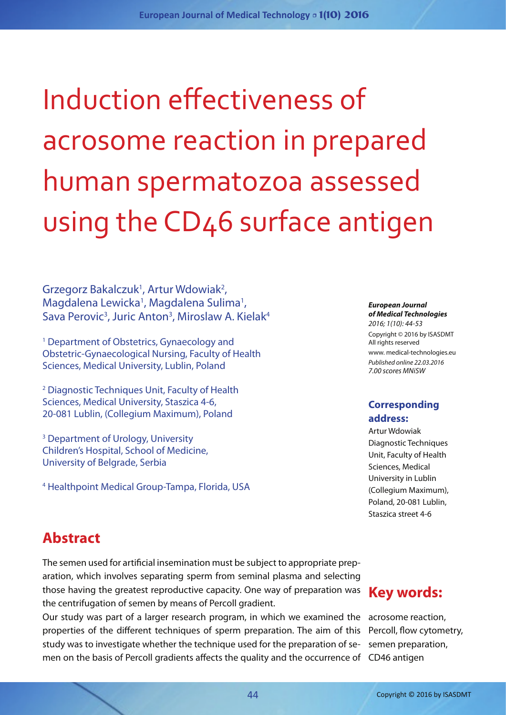Induction effectiveness of acrosome reaction in prepared human spermatozoa assessed using the CD46 surface antigen

Grzegorz Bakalczuk<sup>1</sup>, Artur Wdowiak<sup>2</sup>, Magdalena Lewicka<sup>1</sup>, Magdalena Sulima<sup>1</sup>, Sava Perovic<sup>3</sup>, Juric Anton<sup>3</sup>, Miroslaw A. Kielak<sup>4</sup>

1 Department of Obstetrics, Gynaecology and Obstetric-Gynaecological Nursing, Faculty of Health Sciences, Medical University, Lublin, Poland

2 Diagnostic Techniques Unit, Faculty of Health Sciences, Medical University, Staszica 4-6, 20-081 Lublin, (Collegium Maximum), Poland

3 Department of Urology, University Children's Hospital, School of Medicine, University of Belgrade, Serbia

4 Healthpoint Medical Group-Tampa, Florida, USA

#### *European Journal of Medical Technologies 2016; 1(10): 44-53*

Copyright © 2016 by ISASDMT All rights reserved www. medical-technologies.eu *Published online 22.03.2016 7.00 scores MNiSW*

#### **Corresponding address:**

Artur Wdowiak Diagnostic Techniques Unit, Faculty of Health Sciences, Medical University in Lublin (Collegium Maximum), Poland, 20-081 Lublin, Staszica street 4-6

## **Abstract**

The semen used for artificial insemination must be subject to appropriate preparation, which involves separating sperm from seminal plasma and selecting those having the greatest reproductive capacity. One way of preparation was the centrifugation of semen by means of Percoll gradient.

Our study was part of a larger research program, in which we examined the acrosome reaction, men on the basis of Percoll gradients affects the quality and the occurrence of CD46 antigen properties of the different techniques of sperm preparation. The aim of this study was to investigate whether the technique used for the preparation of se-

# **Key words:**

Percoll, flow cytometry, semen preparation,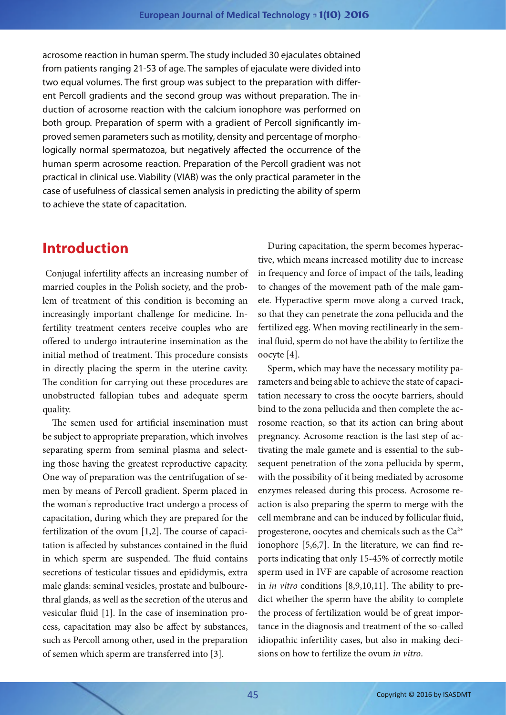acrosome reaction in human sperm. The study included 30 ejaculates obtained from patients ranging 21-53 of age. The samples of ejaculate were divided into two equal volumes. The first group was subject to the preparation with different Percoll gradients and the second group was without preparation. The induction of acrosome reaction with the calcium ionophore was performed on both group. Preparation of sperm with a gradient of Percoll significantly improved semen parameters such as motility, density and percentage of morphologically normal spermatozoa, but negatively affected the occurrence of the human sperm acrosome reaction. Preparation of the Percoll gradient was not practical in clinical use. Viability (VIAB) was the only practical parameter in the case of usefulness of classical semen analysis in predicting the ability of sperm to achieve the state of capacitation.

#### **Introduction**

 Conjugal infertility affects an increasing number of married couples in the Polish society, and the problem of treatment of this condition is becoming an increasingly important challenge for medicine. Infertility treatment centers receive couples who are offered to undergo intrauterine insemination as the initial method of treatment. This procedure consists in directly placing the sperm in the uterine cavity. The condition for carrying out these procedures are unobstructed fallopian tubes and adequate sperm quality.

The semen used for artificial insemination must be subject to appropriate preparation, which involves separating sperm from seminal plasma and selecting those having the greatest reproductive capacity. One way of preparation was the centrifugation of semen by means of Percoll gradient. Sperm placed in the woman's reproductive tract undergo a process of capacitation, during which they are prepared for the fertilization of the ovum [1,2]. The course of capacitation is affected by substances contained in the fluid in which sperm are suspended. The fluid contains secretions of testicular tissues and epididymis, extra male glands: seminal vesicles, prostate and bulbourethral glands, as well as the secretion of the uterus and vesicular fluid [1]. In the case of insemination process, capacitation may also be affect by substances, such as Percoll among other, used in the preparation of semen which sperm are transferred into [3].

During capacitation, the sperm becomes hyperactive, which means increased motility due to increase in frequency and force of impact of the tails, leading to changes of the movement path of the male gamete. Hyperactive sperm move along a curved track, so that they can penetrate the zona pellucida and the fertilized egg. When moving rectilinearly in the seminal fluid, sperm do not have the ability to fertilize the oocyte [4].

Sperm, which may have the necessary motility parameters and being able to achieve the state of capacitation necessary to cross the oocyte barriers, should bind to the zona pellucida and then complete the acrosome reaction, so that its action can bring about pregnancy. Acrosome reaction is the last step of activating the male gamete and is essential to the subsequent penetration of the zona pellucida by sperm, with the possibility of it being mediated by acrosome enzymes released during this process. Acrosome reaction is also preparing the sperm to merge with the cell membrane and can be induced by follicular fluid, progesterone, oocytes and chemicals such as the Ca<sup>2+</sup> ionophore [5,6,7]. In the literature, we can find reports indicating that only 15-45% of correctly motile sperm used in IVF are capable of acrosome reaction in *in vitro* conditions [8,9,10,11]. The ability to predict whether the sperm have the ability to complete the process of fertilization would be of great importance in the diagnosis and treatment of the so-called idiopathic infertility cases, but also in making decisions on how to fertilize the ovum *in vitro*.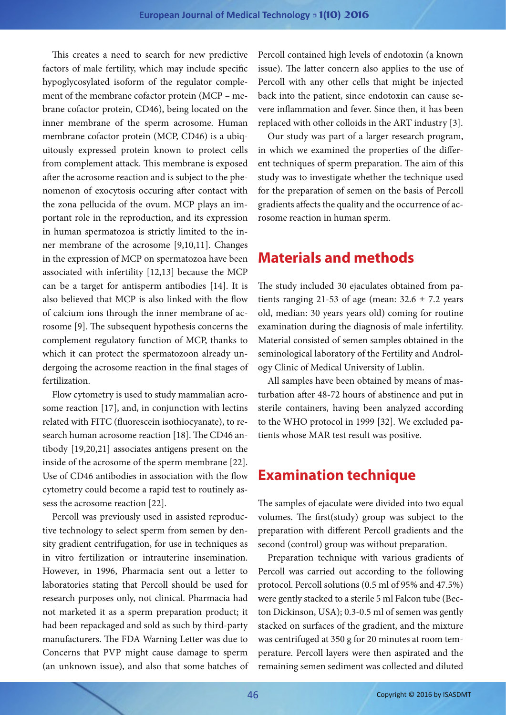This creates a need to search for new predictive factors of male fertility, which may include specific hypoglycosylated isoform of the regulator complement of the membrane cofactor protein (MCP – mebrane cofactor protein, CD46), being located on the inner membrane of the sperm acrosome. Human membrane cofactor protein (MCP, CD46) is a ubiquitously expressed protein known to protect cells from complement attack. This membrane is exposed after the acrosome reaction and is subject to the phenomenon of exocytosis occuring after contact with the zona pellucida of the ovum. MCP plays an important role in the reproduction, and its expression in human spermatozoa is strictly limited to the inner membrane of the acrosome [9,10,11]. Changes in the expression of MCP on spermatozoa have been associated with infertility [12,13] because the MCP can be a target for antisperm antibodies [14]. It is also believed that MCP is also linked with the flow of calcium ions through the inner membrane of acrosome [9]. The subsequent hypothesis concerns the complement regulatory function of MCP, thanks to which it can protect the spermatozoon already undergoing the acrosome reaction in the final stages of fertilization.

Flow cytometry is used to study mammalian acrosome reaction [17], and, in conjunction with lectins related with FITC (fluorescein isothiocyanate), to research human acrosome reaction [18]. The CD46 antibody [19,20,21] associates antigens present on the inside of the acrosome of the sperm membrane [22]. Use of CD46 antibodies in association with the flow cytometry could become a rapid test to routinely assess the acrosome reaction [22].

Percoll was previously used in assisted reproductive technology to select sperm from semen by density gradient centrifugation, for use in techniques as in vitro fertilization or intrauterine insemination. However, in 1996, Pharmacia sent out a letter to laboratories stating that Percoll should be used for research purposes only, not clinical. Pharmacia had not marketed it as a sperm preparation product; it had been repackaged and sold as such by third-party manufacturers. The FDA Warning Letter was due to Concerns that PVP might cause damage to sperm (an unknown issue), and also that some batches of Percoll contained high levels of endotoxin (a known issue). The latter concern also applies to the use of Percoll with any other cells that might be injected back into the patient, since endotoxin can cause severe inflammation and fever. Since then, it has been replaced with other colloids in the ART industry [3].

Our study was part of a larger research program, in which we examined the properties of the different techniques of sperm preparation. The aim of this study was to investigate whether the technique used for the preparation of semen on the basis of Percoll gradients affects the quality and the occurrence of acrosome reaction in human sperm.

## **Materials and methods**

The study included 30 ejaculates obtained from patients ranging 21-53 of age (mean:  $32.6 \pm 7.2$  years old, median: 30 years years old) coming for routine examination during the diagnosis of male infertility. Material consisted of semen samples obtained in the seminological laboratory of the Fertility and Andrology Clinic of Medical University of Lublin.

All samples have been obtained by means of masturbation after 48-72 hours of abstinence and put in sterile containers, having been analyzed according to the WHO protocol in 1999 [32]. We excluded patients whose MAR test result was positive.

## **Examination technique**

The samples of ejaculate were divided into two equal volumes. The first(study) group was subject to the preparation with different Percoll gradients and the second (control) group was without preparation.

Preparation technique with various gradients of Percoll was carried out according to the following protocol. Percoll solutions (0.5 ml of 95% and 47.5%) were gently stacked to a sterile 5 ml Falcon tube (Becton Dickinson, USA); 0.3-0.5 ml of semen was gently stacked on surfaces of the gradient, and the mixture was centrifuged at 350 g for 20 minutes at room temperature. Percoll layers were then aspirated and the remaining semen sediment was collected and diluted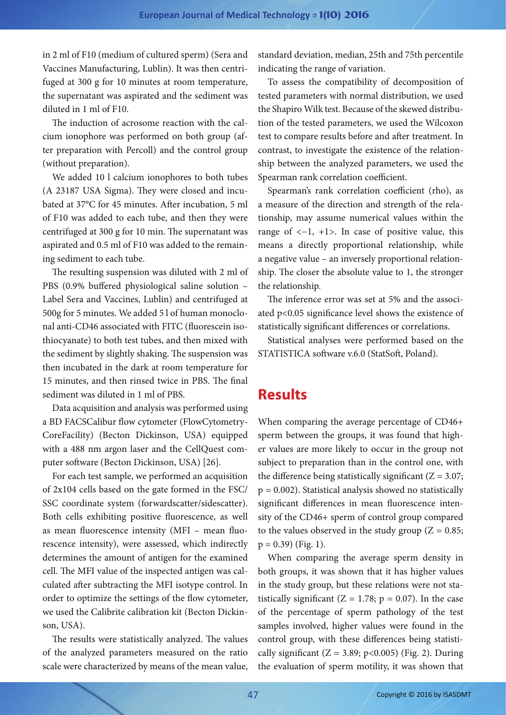in 2 ml of F10 (medium of cultured sperm) (Sera and Vaccines Manufacturing, Lublin). It was then centrifuged at 300 g for 10 minutes at room temperature, the supernatant was aspirated and the sediment was diluted in 1 ml of F10.

The induction of acrosome reaction with the calcium ionophore was performed on both group (after preparation with Percoll) and the control group (without preparation).

We added 10 l calcium ionophores to both tubes (A 23187 USA Sigma). They were closed and incubated at 37°C for 45 minutes. After incubation, 5 ml of F10 was added to each tube, and then they were centrifuged at 300 g for 10 min. The supernatant was aspirated and 0.5 ml of F10 was added to the remaining sediment to each tube.

The resulting suspension was diluted with 2 ml of PBS (0.9% buffered physiological saline solution – Label Sera and Vaccines, Lublin) and centrifuged at 500g for 5 minutes. We added 5 l of human monoclonal anti-CD46 associated with FITC (fluorescein isothiocyanate) to both test tubes, and then mixed with the sediment by slightly shaking. The suspension was then incubated in the dark at room temperature for 15 minutes, and then rinsed twice in PBS. The final sediment was diluted in 1 ml of PBS.

Data acquisition and analysis was performed using a BD FACSCalibur flow cytometer (FlowCytometry-CoreFacility) (Becton Dickinson, USA) equipped with a 488 nm argon laser and the CellQuest computer software (Becton Dickinson, USA) [26].

For each test sample, we performed an acquisition of 2x104 cells based on the gate formed in the FSC/ SSC coordinate system (forwardscatter/sidescatter). Both cells exhibiting positive fluorescence, as well as mean fluorescence intensity (MFI – mean fluorescence intensity), were assessed, which indirectly determines the amount of antigen for the examined cell. The MFI value of the inspected antigen was calculated after subtracting the MFI isotype control. In order to optimize the settings of the flow cytometer, we used the Calibrite calibration kit (Becton Dickinson, USA).

The results were statistically analyzed. The values of the analyzed parameters measured on the ratio scale were characterized by means of the mean value,

standard deviation, median, 25th and 75th percentile indicating the range of variation.

To assess the compatibility of decomposition of tested parameters with normal distribution, we used the Shapiro Wilk test. Because of the skewed distribution of the tested parameters, we used the Wilcoxon test to compare results before and after treatment. In contrast, to investigate the existence of the relationship between the analyzed parameters, we used the Spearman rank correlation coefficient.

Spearman's rank correlation coefficient (rho), as a measure of the direction and strength of the relationship, may assume numerical values within the range of  $<-1$ ,  $+1$ >. In case of positive value, this means a directly proportional relationship, while a negative value – an inversely proportional relationship. The closer the absolute value to 1, the stronger the relationship.

The inference error was set at 5% and the associated p<0.05 significance level shows the existence of statistically significant differences or correlations.

Statistical analyses were performed based on the STATISTICA software v.6.0 (StatSoft, Poland).

### **Results**

When comparing the average percentage of CD46+ sperm between the groups, it was found that higher values are more likely to occur in the group not subject to preparation than in the control one, with the difference being statistically significant  $(Z = 3.07;$  $p = 0.002$ ). Statistical analysis showed no statistically significant differences in mean fluorescence intensity of the CD46+ sperm of control group compared to the values observed in the study group ( $Z = 0.85$ ;  $p = 0.39$  (Fig. 1).

When comparing the average sperm density in both groups, it was shown that it has higher values in the study group, but these relations were not statistically significant ( $Z = 1.78$ ;  $p = 0.07$ ). In the case of the percentage of sperm pathology of the test samples involved, higher values were found in the control group, with these differences being statistically significant ( $Z = 3.89$ ; p<0.005) (Fig. 2). During the evaluation of sperm motility, it was shown that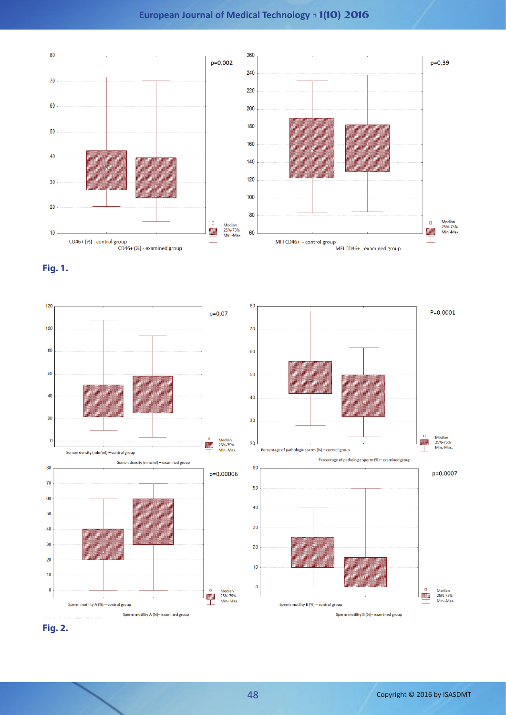#### **European Journal of Medical Technology** • **1(10) 2016**







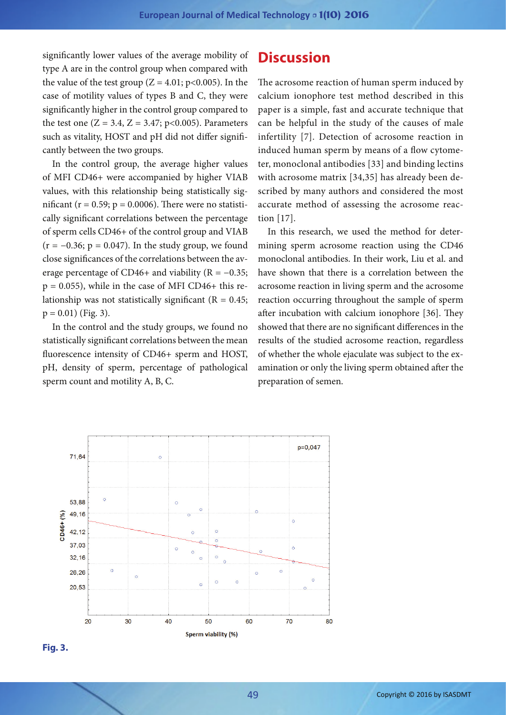significantly lower values of the average mobility of type A are in the control group when compared with the value of the test group  $(Z = 4.01; p < 0.005)$ . In the case of motility values of types B and C, they were significantly higher in the control group compared to the test one ( $Z = 3.4$ ,  $Z = 3.47$ ; p<0.005). Parameters such as vitality, HOST and pH did not differ significantly between the two groups.

In the control group, the average higher values of MFI CD46+ were accompanied by higher VIAB values, with this relationship being statistically significant ( $r = 0.59$ ;  $p = 0.0006$ ). There were no statistically significant correlations between the percentage of sperm cells CD46+ of the control group and VIAB  $(r = -0.36; p = 0.047)$ . In the study group, we found close significances of the correlations between the average percentage of CD46+ and viability ( $R = -0.35$ ;  $p = 0.055$ , while in the case of MFI CD46+ this relationship was not statistically significant ( $R = 0.45$ ;  $p = 0.01$ ) (Fig. 3).

In the control and the study groups, we found no statistically significant correlations between the mean fluorescence intensity of CD46+ sperm and HOST, pH, density of sperm, percentage of pathological sperm count and motility A, B, C.

### **Discussion**

The acrosome reaction of human sperm induced by calcium ionophore test method described in this paper is a simple, fast and accurate technique that can be helpful in the study of the causes of male infertility [7]. Detection of acrosome reaction in induced human sperm by means of a flow cytometer, monoclonal antibodies [33] and binding lectins with acrosome matrix [34,35] has already been described by many authors and considered the most accurate method of assessing the acrosome reaction [17].

In this research, we used the method for determining sperm acrosome reaction using the CD46 monoclonal antibodies. In their work, Liu et al. and have shown that there is a correlation between the acrosome reaction in living sperm and the acrosome reaction occurring throughout the sample of sperm after incubation with calcium ionophore [36]. They showed that there are no significant differences in the results of the studied acrosome reaction, regardless of whether the whole ejaculate was subject to the examination or only the living sperm obtained after the preparation of semen.



#### **Fig. 3.**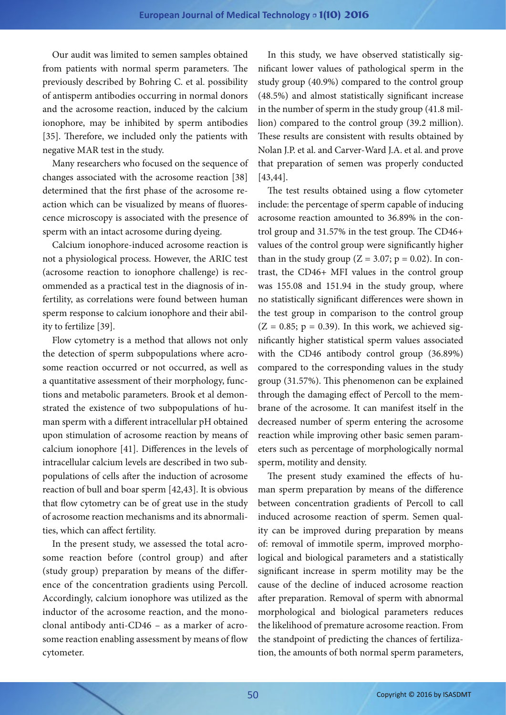Our audit was limited to semen samples obtained from patients with normal sperm parameters. The previously described by Bohring C. et al. possibility of antisperm antibodies occurring in normal donors and the acrosome reaction, induced by the calcium ionophore, may be inhibited by sperm antibodies [35]. Therefore, we included only the patients with negative MAR test in the study.

Many researchers who focused on the sequence of changes associated with the acrosome reaction [38] determined that the first phase of the acrosome reaction which can be visualized by means of fluorescence microscopy is associated with the presence of sperm with an intact acrosome during dyeing.

Calcium ionophore-induced acrosome reaction is not a physiological process. However, the ARIC test (acrosome reaction to ionophore challenge) is recommended as a practical test in the diagnosis of infertility, as correlations were found between human sperm response to calcium ionophore and their ability to fertilize [39].

Flow cytometry is a method that allows not only the detection of sperm subpopulations where acrosome reaction occurred or not occurred, as well as a quantitative assessment of their morphology, functions and metabolic parameters. Brook et al demonstrated the existence of two subpopulations of human sperm with a different intracellular pH obtained upon stimulation of acrosome reaction by means of calcium ionophore [41]. Differences in the levels of intracellular calcium levels are described in two subpopulations of cells after the induction of acrosome reaction of bull and boar sperm [42,43]. It is obvious that flow cytometry can be of great use in the study of acrosome reaction mechanisms and its abnormalities, which can affect fertility.

In the present study, we assessed the total acrosome reaction before (control group) and after (study group) preparation by means of the difference of the concentration gradients using Percoll. Accordingly, calcium ionophore was utilized as the inductor of the acrosome reaction, and the monoclonal antibody anti-CD46 – as a marker of acrosome reaction enabling assessment by means of flow cytometer.

In this study, we have observed statistically significant lower values of pathological sperm in the study group (40.9%) compared to the control group (48.5%) and almost statistically significant increase in the number of sperm in the study group (41.8 million) compared to the control group (39.2 million). These results are consistent with results obtained by Nolan J.P. et al. and Carver-Ward J.A. et al. and prove that preparation of semen was properly conducted [43,44].

The test results obtained using a flow cytometer include: the percentage of sperm capable of inducing acrosome reaction amounted to 36.89% in the control group and 31.57% in the test group. The CD46+ values of the control group were significantly higher than in the study group  $(Z = 3.07; p = 0.02)$ . In contrast, the CD46+ MFI values in the control group was 155.08 and 151.94 in the study group, where no statistically significant differences were shown in the test group in comparison to the control group  $(Z = 0.85; p = 0.39)$ . In this work, we achieved significantly higher statistical sperm values associated with the CD46 antibody control group (36.89%) compared to the corresponding values in the study group (31.57%). This phenomenon can be explained through the damaging effect of Percoll to the membrane of the acrosome. It can manifest itself in the decreased number of sperm entering the acrosome reaction while improving other basic semen parameters such as percentage of morphologically normal sperm, motility and density.

The present study examined the effects of human sperm preparation by means of the difference between concentration gradients of Percoll to call induced acrosome reaction of sperm. Semen quality can be improved during preparation by means of: removal of immotile sperm, improved morphological and biological parameters and a statistically significant increase in sperm motility may be the cause of the decline of induced acrosome reaction after preparation. Removal of sperm with abnormal morphological and biological parameters reduces the likelihood of premature acrosome reaction. From the standpoint of predicting the chances of fertilization, the amounts of both normal sperm parameters,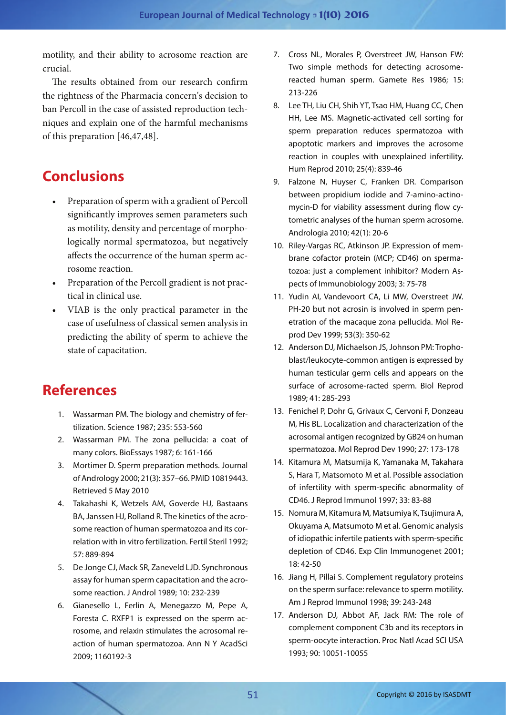motility, and their ability to acrosome reaction are crucial.

The results obtained from our research confirm the rightness of the Pharmacia concern's decision to ban Percoll in the case of assisted reproduction techniques and explain one of the harmful mechanisms of this preparation [46,47,48].

# **Conclusions**

- Preparation of sperm with a gradient of Percoll significantly improves semen parameters such as motility, density and percentage of morphologically normal spermatozoa, but negatively affects the occurrence of the human sperm acrosome reaction.
- • Preparation of the Percoll gradient is not practical in clinical use.
- VIAB is the only practical parameter in the case of usefulness of classical semen analysis in predicting the ability of sperm to achieve the state of capacitation.

## **References**

- 1. Wassarman PM. The biology and chemistry of fertilization. Science 1987; 235: 553-560
- 2. Wassarman PM. The zona pellucida: a coat of many colors. BioEssays 1987; 6: 161-166
- 3. Mortimer D. Sperm preparation methods. Journal of Andrology 2000; 21(3): 357–66. PMID 10819443. Retrieved 5 May 2010
- 4. Takahashi K, Wetzels AM, Goverde HJ, Bastaans BA, Janssen HJ, Rolland R. The kinetics of the acrosome reaction of human spermatozoa and its correlation with in vitro fertilization. Fertil Steril 1992; 57: 889-894
- 5. De Jonge CJ, Mack SR, Zaneveld LJD. Synchronous assay for human sperm capacitation and the acrosome reaction. J Androl 1989; 10: 232-239
- 6. Gianesello L, Ferlin A, Menegazzo M, Pepe A, Foresta C. RXFP1 is expressed on the sperm acrosome, and relaxin stimulates the acrosomal reaction of human spermatozoa. Ann N Y AcadSci 2009; 1160192-3
- 7. Cross NL, Morales P, Overstreet JW, Hanson FW: Two simple methods for detecting acrosomereacted human sperm. Gamete Res 1986; 15: 213-226
- 8. Lee TH, Liu CH, Shih YT, Tsao HM, Huang CC, Chen HH, Lee MS. Magnetic-activated cell sorting for sperm preparation reduces spermatozoa with apoptotic markers and improves the acrosome reaction in couples with unexplained infertility. Hum Reprod 2010; 25(4): 839-46
- 9. Falzone N, Huyser C, Franken DR. Comparison between propidium iodide and 7-amino-actinomycin-D for viability assessment during flow cytometric analyses of the human sperm acrosome. Andrologia 2010; 42(1): 20-6
- 10. Riley-Vargas RC, Atkinson JP. Expression of membrane cofactor protein (MCP; CD46) on spermatozoa: just a complement inhibitor? Modern Aspects of Immunobiology 2003; 3: 75-78
- 11. Yudin AI, Vandevoort CA, Li MW, Overstreet JW. PH-20 but not acrosin is involved in sperm penetration of the macaque zona pellucida. Mol Reprod Dev 1999; 53(3): 350-62
- 12. Anderson DJ, Michaelson JS, Johnson PM: Trophoblast/leukocyte-common antigen is expressed by human testicular germ cells and appears on the surface of acrosome-racted sperm. Biol Reprod 1989; 41: 285-293
- 13. Fenichel P, Dohr G, Grivaux C, Cervoni F, Donzeau M, His BL. Localization and characterization of the acrosomal antigen recognized by GB24 on human spermatozoa. Mol Reprod Dev 1990; 27: 173-178
- 14. Kitamura M, Matsumija K, Yamanaka M, Takahara S, Hara T, Matsomoto M et al. Possible association of infertility with sperm-specific abnormality of CD46. J Reprod Immunol 1997; 33: 83-88
- 15. Nomura M, Kitamura M, Matsumiya K, Tsujimura A, Okuyama A, Matsumoto M et al. Genomic analysis of idiopathic infertile patients with sperm-specific depletion of CD46. Exp Clin Immunogenet 2001; 18: 42-50
- 16. Jiang H, Pillai S. Complement regulatory proteins on the sperm surface: relevance to sperm motility. Am J Reprod Immunol 1998; 39: 243-248
- 17. Anderson DJ, Abbot AF, Jack RM: The role of complement component C3b and its receptors in sperm-oocyte interaction. Proc Natl Acad SCI USA 1993; 90: 10051-10055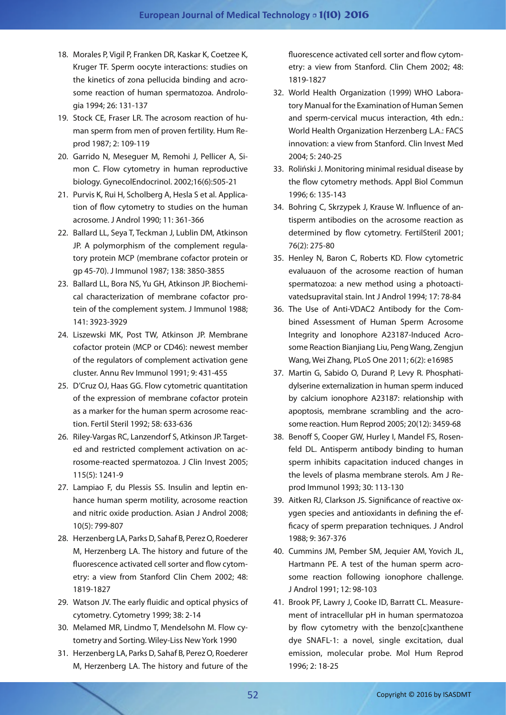- 18. Morales P, Vigil P, Franken DR, Kaskar K, Coetzee K, Kruger TF. Sperm oocyte interactions: studies on the kinetics of zona pellucida binding and acrosome reaction of human spermatozoa. Andrologia 1994; 26: 131-137
- 19. Stock CE, Fraser LR. The acrosom reaction of human sperm from men of proven fertility. Hum Reprod 1987; 2: 109-119
- 20. Garrido N, Meseguer M, Remohi J, Pellicer A, Simon C. Flow cytometry in human reproductive biology. GynecolEndocrinol. 2002;16(6):505-21
- 21. Purvis K, Rui H, Scholberg A, Hesla S et al. Application of flow cytometry to studies on the human acrosome. J Androl 1990; 11: 361-366
- 22. Ballard LL, Seya T, Teckman J, Lublin DM, Atkinson JP. A polymorphism of the complement regulatory protein MCP (membrane cofactor protein or gp 45-70). J Immunol 1987; 138: 3850-3855
- 23. Ballard LL, Bora NS, Yu GH, Atkinson JP. Biochemical characterization of membrane cofactor protein of the complement system. J Immunol 1988; 141: 3923-3929
- 24. Liszewski MK, Post TW, Atkinson JP. Membrane cofactor protein (MCP or CD46): newest member of the regulators of complement activation gene cluster. Annu Rev Immunol 1991; 9: 431-455
- 25. D'Cruz OJ, Haas GG. Flow cytometric quantitation of the expression of membrane cofactor protein as a marker for the human sperm acrosome reaction. Fertil Steril 1992; 58: 633-636
- 26. Riley-Vargas RC, Lanzendorf S, Atkinson JP. Targeted and restricted complement activation on acrosome-reacted spermatozoa. J Clin Invest 2005; 115(5): 1241-9
- 27. Lampiao F, du Plessis SS. Insulin and leptin enhance human sperm motility, acrosome reaction and nitric oxide production. Asian J Androl 2008; 10(5): 799-807
- 28. Herzenberg LA, Parks D, Sahaf B, Perez O, Roederer M, Herzenberg LA. The history and future of the fluorescence activated cell sorter and flow cytometry: a view from Stanford Clin Chem 2002; 48: 1819-1827
- 29. Watson JV. The early fluidic and optical physics of cytometry. Cytometry 1999; 38: 2-14
- 30. Melamed MR, Lindmo T, Mendelsohn M. Flow cytometry and Sorting. Wiley-Liss New York 1990
- 31. Herzenberg LA, Parks D, Sahaf B, Perez O, Roederer M, Herzenberg LA. The history and future of the

fluorescence activated cell sorter and flow cytometry: a view from Stanford. Clin Chem 2002; 48: 1819-1827

- 32. World Health Organization (1999) WHO Laboratory Manual for the Examination of Human Semen and sperm-cervical mucus interaction, 4th edn.: World Health Organization Herzenberg L.A.: FACS innovation: a view from Stanford. Clin Invest Med 2004; 5: 240-25
- 33. Roliński J. Monitoring minimal residual disease by the flow cytometry methods. Appl Biol Commun 1996; 6: 135-143
- 34. Bohring C, Skrzypek J, Krause W. Influence of antisperm antibodies on the acrosome reaction as determined by flow cytometry. FertilSteril 2001; 76(2): 275-80
- 35. Henley N, Baron C, Roberts KD. Flow cytometric evaluauon of the acrosome reaction of human spermatozoa: a new method using a photoactivatedsupravital stain. Int J Androl 1994; 17: 78-84
- 36. The Use of Anti-VDAC2 Antibody for the Combined Assessment of Human Sperm Acrosome Integrity and Ionophore A23187-Induced Acrosome Reaction Bianjiang Liu, Peng Wang, Zengjun Wang, Wei Zhang, PLoS One 2011; 6(2): e16985
- 37. Martin G, Sabido O, Durand P, Levy R. Phosphatidylserine externalization in human sperm induced by calcium ionophore A23187: relationship with apoptosis, membrane scrambling and the acrosome reaction. Hum Reprod 2005; 20(12): 3459-68
- 38. Benoff S, Cooper GW, Hurley I, Mandel FS, Rosenfeld DL. Antisperm antibody binding to human sperm inhibits capacitation induced changes in the levels of plasma membrane sterols. Am J Reprod Immunol 1993; 30: 113-130
- 39. Aitken RJ, Clarkson JS. Significance of reactive oxygen species and antioxidants in defining the efficacy of sperm preparation techniques. J Androl 1988; 9: 367-376
- 40. Cummins JM, Pember SM, Jequier AM, Yovich JL, Hartmann PE. A test of the human sperm acrosome reaction following ionophore challenge. J Androl 1991; 12: 98-103
- 41. Brook PF, Lawry J, Cooke ID, Barratt CL. Measurement of intracellular pH in human spermatozoa by flow cytometry with the benzolclxanthene dye SNAFL-1: a novel, single excitation, dual emission, molecular probe. Mol Hum Reprod 1996; 2: 18-25